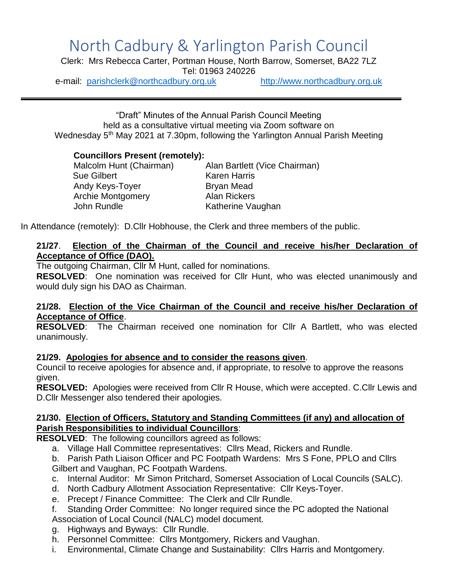# North Cadbury & Yarlington Parish Council

Clerk: Mrs Rebecca Carter, Portman House, North Barrow, Somerset, BA22 7LZ Tel: 01963 240226

e-mail: [parishclerk@northcadbury.org.uk](mailto:parishclerk@northcadbury.org.uk) [http://www.northcadbury.org.uk](http://www.northcadbury.org.uk/)

"Draft" Minutes of the Annual Parish Council Meeting held as a consultative virtual meeting via Zoom software on Wednesday 5<sup>th</sup> May 2021 at 7.30pm, following the Yarlington Annual Parish Meeting

# **Councillors Present (remotely):**

Malcolm Hunt (Chairman) Alan Bartlett (Vice Chairman) Sue Gilbert **Karen Harris** Andy Keys-Toyer Bryan Mead Archie Montgomery **Alan Rickers** John Rundle **Katherine Vaughan** 

In Attendance (remotely): D.Cllr Hobhouse, the Clerk and three members of the public.

# **21/27**. **Election of the Chairman of the Council and receive his/her Declaration of Acceptance of Office (DAO).**

The outgoing Chairman, Cllr M Hunt, called for nominations.

**RESOLVED**: One nomination was received for Cllr Hunt, who was elected unanimously and would duly sign his DAO as Chairman.

#### **21/28. Election of the Vice Chairman of the Council and receive his/her Declaration of Acceptance of Office**.

**RESOLVED**: The Chairman received one nomination for Cllr A Bartlett, who was elected unanimously.

# **21/29. Apologies for absence and to consider the reasons given**.

Council to receive apologies for absence and, if appropriate, to resolve to approve the reasons given.

**RESOLVED:** Apologies were received from Cllr R House, which were accepted. C.Cllr Lewis and D.Cllr Messenger also tendered their apologies.

#### **21/30. Election of Officers, Statutory and Standing Committees (if any) and allocation of Parish Responsibilities to individual Councillors**:

**RESOLVED**: The following councillors agreed as follows:

- a. Village Hall Committee representatives: Cllrs Mead, Rickers and Rundle.
- b. Parish Path Liaison Officer and PC Footpath Wardens: Mrs S Fone, PPLO and Cllrs Gilbert and Vaughan, PC Footpath Wardens.
- c. Internal Auditor: Mr Simon Pritchard, Somerset Association of Local Councils (SALC).
- d. North Cadbury Allotment Association Representative: Cllr Keys-Toyer.
- e. Precept / Finance Committee: The Clerk and Cllr Rundle.
- f. Standing Order Committee: No longer required since the PC adopted the National Association of Local Council (NALC) model document.
- g. Highways and Byways: Cllr Rundle.
- h. Personnel Committee: Cllrs Montgomery, Rickers and Vaughan.
- i. Environmental, Climate Change and Sustainability: Cllrs Harris and Montgomery.